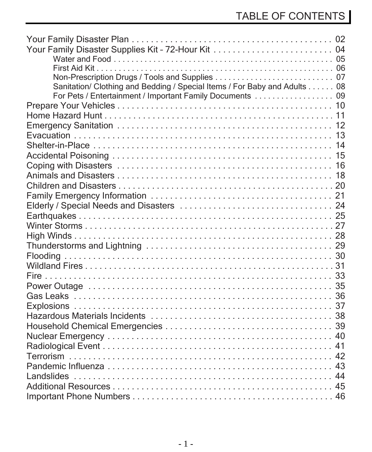| Sanitation/ Clothing and Bedding / Special Items / For Baby and Adults 08 |  |
|---------------------------------------------------------------------------|--|
| For Pets / Entertainment / Important Family Documents 09                  |  |
|                                                                           |  |
|                                                                           |  |
|                                                                           |  |
|                                                                           |  |
|                                                                           |  |
|                                                                           |  |
|                                                                           |  |
|                                                                           |  |
|                                                                           |  |
|                                                                           |  |
|                                                                           |  |
|                                                                           |  |
|                                                                           |  |
|                                                                           |  |
|                                                                           |  |
|                                                                           |  |
|                                                                           |  |
|                                                                           |  |
|                                                                           |  |
|                                                                           |  |
|                                                                           |  |
|                                                                           |  |
|                                                                           |  |
|                                                                           |  |
|                                                                           |  |
|                                                                           |  |
|                                                                           |  |
|                                                                           |  |
|                                                                           |  |
|                                                                           |  |
|                                                                           |  |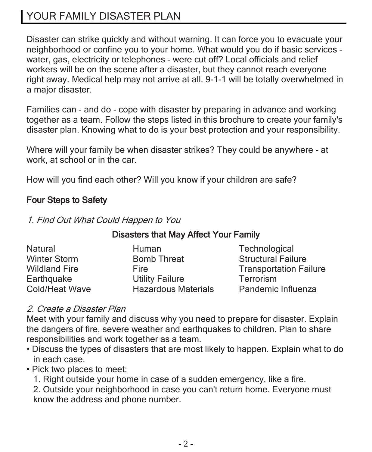# YOUR FAMILY DISASTER PLAN

Disaster can strike quickly and without warning. It can force you to evacuate your neighborhood or confine you to your home. What would you do if basic services water, gas, electricity or telephones - were cut off? Local officials and relief workers will be on the scene after a disaster, but they cannot reach everyone right away. Medical help may not arrive at all. 9-1-1 will be totally overwhelmed in a major disaster.

Families can - and do - cope with disaster by preparing in advance and working together as a team. Follow the steps listed in this brochure to create your family's disaster plan. Knowing what to do is your best protection and your responsibility.

Where will your family be when disaster strikes? They could be anywhere - at work, at school or in the car.

How will you find each other? Will you know if your children are safe?

### Four Steps to Safety

1. Find Out What Could Happen to You

#### Disasters that May Affect Your Family

| <b>Natural</b>        | Human                      | Technological                 |
|-----------------------|----------------------------|-------------------------------|
| <b>Winter Storm</b>   | <b>Bomb Threat</b>         | <b>Structural Failure</b>     |
| <b>Wildland Fire</b>  | <b>Fire</b>                | <b>Transportation Failure</b> |
| Earthquake            | <b>Utility Failure</b>     | <b>Terrorism</b>              |
| <b>Cold/Heat Wave</b> | <b>Hazardous Materials</b> | Pandemic Influenza            |

### 2. Create a Disaster Plan

Meet with your family and discuss why you need to prepare for disaster. Explain the dangers of fire, severe weather and earthquakes to children. Plan to share responsibilities and work together as a team.

- Discuss the types of disasters that are most likely to happen. Explain what to do in each case.
- Pick two places to meet:
	- 1. Right outside your home in case of a sudden emergency, like a fire.
	- 2. Outside your neighborhood in case you can't return home. Everyone must know the address and phone number.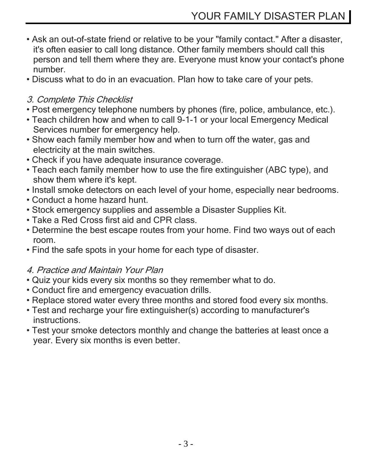- Ask an out-of-state friend or relative to be your "family contact." After a disaster, it's often easier to call long distance. Other family members should call this person and tell them where they are. Everyone must know your contact's phone number.
- Discuss what to do in an evacuation. Plan how to take care of your pets.

#### 3. Complete This Checklist

- Post emergency telephone numbers by phones (fire, police, ambulance, etc.).
- Teach children how and when to call 9-1-1 or your local Emergency Medical Services number for emergency help.
- Show each family member how and when to turn off the water, gas and electricity at the main switches.
- Check if you have adequate insurance coverage.
- Teach each family member how to use the fire extinguisher (ABC type), and show them where it's kept.
- Install smoke detectors on each level of your home, especially near bedrooms.
- Conduct a home hazard hunt.
- Stock emergency supplies and assemble a Disaster Supplies Kit.
- Take a Red Cross first aid and CPR class.
- Determine the best escape routes from your home. Find two ways out of each room.
- Find the safe spots in your home for each type of disaster.

#### 4. Practice and Maintain Your Plan

- Quiz your kids every six months so they remember what to do.
- Conduct fire and emergency evacuation drills.
- Replace stored water every three months and stored food every six months.
- Test and recharge your fire extinguisher(s) according to manufacturer's instructions.
- Test your smoke detectors monthly and change the batteries at least once a year. Every six months is even better.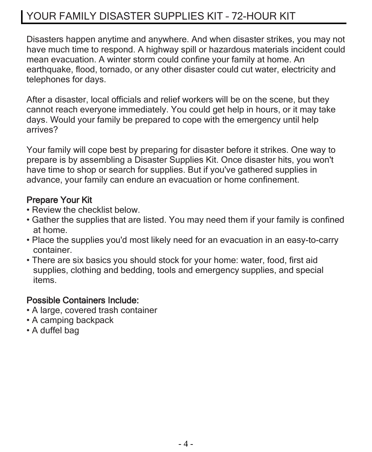# YOUR FAMILY DISASTER SUPPLIES KIT – 72-HOUR KIT

Disasters happen anytime and anywhere. And when disaster strikes, you may not have much time to respond. A highway spill or hazardous materials incident could mean evacuation. A winter storm could confine your family at home. An earthquake, flood, tornado, or any other disaster could cut water, electricity and telephones for days.

After a disaster, local officials and relief workers will be on the scene, but they cannot reach everyone immediately. You could get help in hours, or it may take days. Would your family be prepared to cope with the emergency until help arrives?

Your family will cope best by preparing for disaster before it strikes. One way to prepare is by assembling a Disaster Supplies Kit. Once disaster hits, you won't have time to shop or search for supplies. But if you've gathered supplies in advance, your family can endure an evacuation or home confinement.

#### Prepare Your Kit

- Review the checklist below.
- Gather the supplies that are listed. You may need them if your family is confined at home.
- Place the supplies you'd most likely need for an evacuation in an easy-to-carry container.
- There are six basics you should stock for your home: water, food, first aid supplies, clothing and bedding, tools and emergency supplies, and special items.

#### Possible Containers Include:

- A large, covered trash container
- A camping backpack
- A duffel bag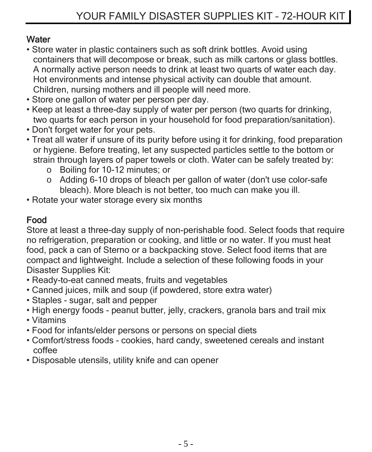# **Water**

- Store water in plastic containers such as soft drink bottles. Avoid using containers that will decompose or break, such as milk cartons or glass bottles. A normally active person needs to drink at least two quarts of water each day. Hot environments and intense physical activity can double that amount. Children, nursing mothers and ill people will need more.
- Store one gallon of water per person per day.
- Keep at least a three-day supply of water per person (two quarts for drinking, two quarts for each person in your household for food preparation/sanitation).
- Don't forget water for your pets.
- Treat all water if unsure of its purity before using it for drinking, food preparation or hygiene. Before treating, let any suspected particles settle to the bottom or strain through layers of paper towels or cloth. Water can be safely treated by:
	- o Boiling for 10-12 minutes; or
	- o Adding 6-10 drops of bleach per gallon of water (don't use color-safe bleach). More bleach is not better, too much can make you ill.
- Rotate your water storage every six months

# Food

Store at least a three-day supply of non-perishable food. Select foods that require no refrigeration, preparation or cooking, and little or no water. If you must heat food, pack a can of Sterno or a backpacking stove. Select food items that are compact and lightweight. Include a selection of these following foods in your Disaster Supplies Kit:

- Ready-to-eat canned meats, fruits and vegetables
- Canned juices, milk and soup (if powdered, store extra water)
- Staples sugar, salt and pepper
- High energy foods peanut butter, jelly, crackers, granola bars and trail mix
- Vitamins
- Food for infants/elder persons or persons on special diets
- Comfort/stress foods cookies, hard candy, sweetened cereals and instant coffee
- Disposable utensils, utility knife and can opener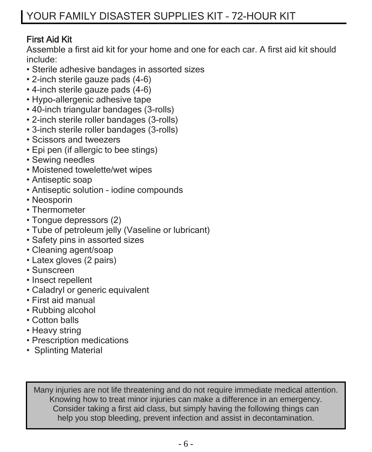## First Aid Kit

Assemble a first aid kit for your home and one for each car. A first aid kit should include:

- Sterile adhesive bandages in assorted sizes
- 2-inch sterile gauze pads (4-6)
- 4-inch sterile gauze pads (4-6)
- Hypo-allergenic adhesive tape
- 40-inch triangular bandages (3-rolls)
- 2-inch sterile roller bandages (3-rolls)
- 3-inch sterile roller bandages (3-rolls)
- Scissors and tweezers
- Epi pen (if allergic to bee stings)
- Sewing needles
- Moistened towelette/wet wipes
- Antiseptic soap
- Antiseptic solution iodine compounds
- Neosporin
- Thermometer
- Tongue depressors (2)
- Tube of petroleum jelly (Vaseline or lubricant)
- Safety pins in assorted sizes
- Cleaning agent/soap
- Latex gloves (2 pairs)
- Sunscreen
- Insect repellent
- Caladryl or generic equivalent
- First aid manual
- Rubbing alcohol
- Cotton balls
- Heavy string
- Prescription medications
- Splinting Material

Many injuries are not life threatening and do not require immediate medical attention. Knowing how to treat minor injuries can make a difference in an emergency. Consider taking a first aid class, but simply having the following things can help you stop bleeding, prevent infection and assist in decontamination.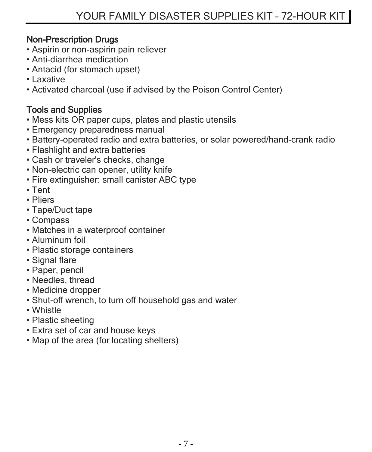## Non-Prescription Drugs

- Aspirin or non-aspirin pain reliever
- Anti-diarrhea medication
- Antacid (for stomach upset)
- Laxative
- Activated charcoal (use if advised by the Poison Control Center)

# Tools and Supplies

- Mess kits OR paper cups, plates and plastic utensils
- Emergency preparedness manual
- Battery-operated radio and extra batteries, or solar powered/hand-crank radio
- Flashlight and extra batteries
- Cash or traveler's checks, change
- Non-electric can opener, utility knife
- Fire extinguisher: small canister ABC type
- Tent
- Pliers
- Tape/Duct tape
- Compass
- Matches in a waterproof container
- Aluminum foil
- Plastic storage containers
- Signal flare
- Paper, pencil
- Needles, thread
- Medicine dropper
- Shut-off wrench, to turn off household gas and water
- Whistle
- Plastic sheeting
- Extra set of car and house keys
- Map of the area (for locating shelters)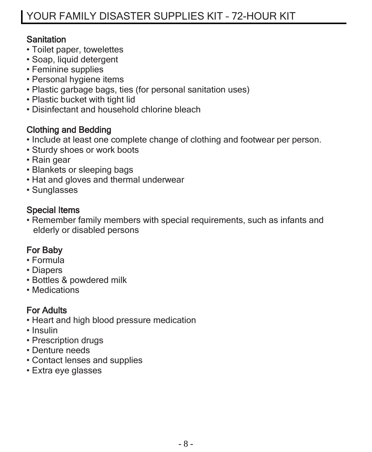#### **Sanitation**

- Toilet paper, towelettes
- Soap, liquid detergent
- Feminine supplies
- Personal hygiene items
- Plastic garbage bags, ties (for personal sanitation uses)
- Plastic bucket with tight lid
- Disinfectant and household chlorine bleach

## Clothing and Bedding

- Include at least one complete change of clothing and footwear per person.
- Sturdy shoes or work boots
- Rain gear
- Blankets or sleeping bags
- Hat and gloves and thermal underwear
- Sunglasses

#### Special Items

• Remember family members with special requirements, such as infants and elderly or disabled persons

## For Baby

- Formula
- Diapers
- Bottles & powdered milk
- Medications

### For Adults

- Heart and high blood pressure medication
- Insulin
- Prescription drugs
- Denture needs
- Contact lenses and supplies
- Extra eye glasses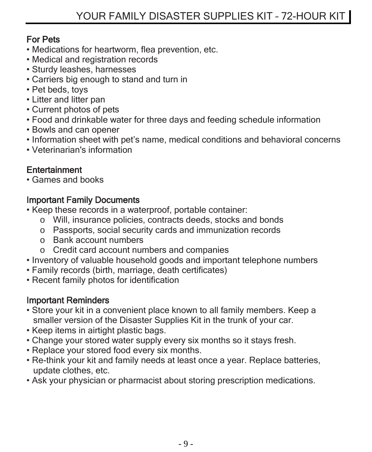# For Pets

- Medications for heartworm, flea prevention, etc.
- Medical and registration records
- Sturdy leashes, harnesses
- Carriers big enough to stand and turn in
- Pet beds, toys
- Litter and litter pan
- Current photos of pets
- Food and drinkable water for three days and feeding schedule information
- Bowls and can opener
- Information sheet with pet's name, medical conditions and behavioral concerns
- Veterinarian's information

# **Entertainment**

• Games and books

## Important Family Documents

- Keep these records in a waterproof, portable container:
	- o Will, insurance policies, contracts deeds, stocks and bonds
	- o Passports, social security cards and immunization records
	- o Bank account numbers
	- o Credit card account numbers and companies
- Inventory of valuable household goods and important telephone numbers
- Family records (birth, marriage, death certificates)
- Recent family photos for identification

## Important Reminders

- Store your kit in a convenient place known to all family members. Keep a smaller version of the Disaster Supplies Kit in the trunk of your car.
- Keep items in airtight plastic bags.
- Change your stored water supply every six months so it stays fresh.
- Replace your stored food every six months.
- Re-think your kit and family needs at least once a year. Replace batteries, update clothes, etc.
- Ask your physician or pharmacist about storing prescription medications.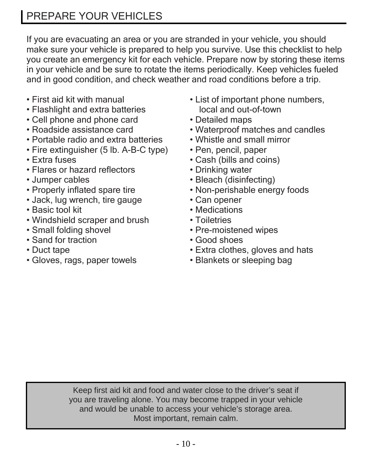# PREPARE YOUR VEHICLES

If you are evacuating an area or you are stranded in your vehicle, you should make sure your vehicle is prepared to help you survive. Use this checklist to help you create an emergency kit for each vehicle. Prepare now by storing these items in your vehicle and be sure to rotate the items periodically. Keep vehicles fueled and in good condition, and check weather and road conditions before a trip.

- First aid kit with manual
- Flashlight and extra batteries
- Cell phone and phone card Detailed maps
- 
- Portable radio and extra batteries Whistle and small mirror
- Fire extinguisher (5 lb. A-B-C type) Pen, pencil, paper
- 
- Flares or hazard reflectors Drinking water
- 
- 
- Jack, lug wrench, tire gauge Can opener
- Basic tool kit Medications
- Windshield scraper and brush Toiletries
- 
- Sand for traction Good shoes
- 
- Gloves, rags, paper towels Blankets or sleeping bag
- List of important phone numbers, local and out-of-town
- 
- Roadside assistance card Waterproof matches and candles
	-
	-
- Extra fuses Cash (bills and coins)
	-
- Jumper cables Bleach (disinfecting)
- Properly inflated spare tire Non-perishable energy foods
	-
	-
	-
- Small folding shovel Pre-moistened wipes
	-
- Duct tape **•** Extra clothes, gloves and hats
	-

Keep first aid kit and food and water close to the driver's seat if you are traveling alone. You may become trapped in your vehicle and would be unable to access your vehicle's storage area. Most important, remain calm.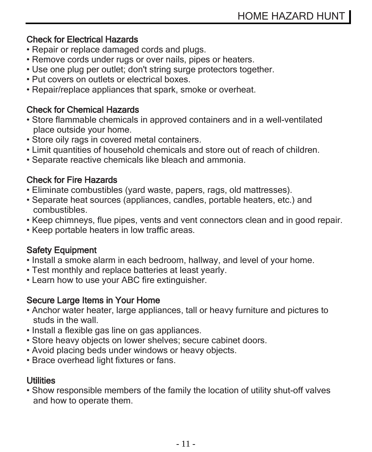#### Check for Electrical Hazards

- Repair or replace damaged cords and plugs.
- Remove cords under rugs or over nails, pipes or heaters.
- Use one plug per outlet; don't string surge protectors together.
- Put covers on outlets or electrical boxes.
- Repair/replace appliances that spark, smoke or overheat.

## Check for Chemical Hazards

- Store flammable chemicals in approved containers and in a well-ventilated place outside your home.
- Store oily rags in covered metal containers.
- Limit quantities of household chemicals and store out of reach of children.
- Separate reactive chemicals like bleach and ammonia.

## Check for Fire Hazards

- Eliminate combustibles (yard waste, papers, rags, old mattresses).
- Separate heat sources (appliances, candles, portable heaters, etc.) and combustibles.
- Keep chimneys, flue pipes, vents and vent connectors clean and in good repair.
- Keep portable heaters in low traffic areas.

## Safety Equipment

- Install a smoke alarm in each bedroom, hallway, and level of your home.
- Test monthly and replace batteries at least yearly.
- Learn how to use your ABC fire extinguisher.

### Secure Large Items in Your Home

- Anchor water heater, large appliances, tall or heavy furniture and pictures to studs in the wall.
- Install a flexible gas line on gas appliances.
- Store heavy objects on lower shelves; secure cabinet doors.
- Avoid placing beds under windows or heavy objects.
- Brace overhead light fixtures or fans.

### Utilities

• Show responsible members of the family the location of utility shut-off valves and how to operate them.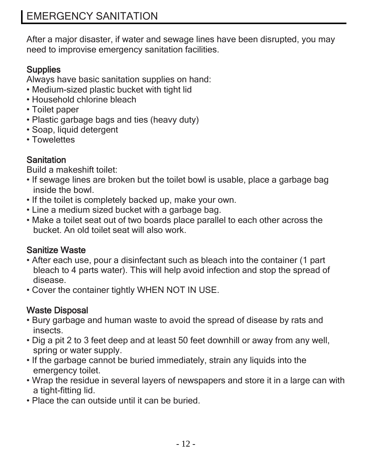After a major disaster, if water and sewage lines have been disrupted, you may need to improvise emergency sanitation facilities.

## **Supplies**

Always have basic sanitation supplies on hand:

- Medium-sized plastic bucket with tight lid
- Household chlorine bleach
- Toilet paper
- Plastic garbage bags and ties (heavy duty)
- Soap, liquid detergent
- Towelettes

## **Sanitation**

Build a makeshift toilet:

- If sewage lines are broken but the toilet bowl is usable, place a garbage bag inside the bowl.
- If the toilet is completely backed up, make your own.
- Line a medium sized bucket with a garbage bag.
- Make a toilet seat out of two boards place parallel to each other across the bucket. An old toilet seat will also work.

## Sanitize Waste

- After each use, pour a disinfectant such as bleach into the container (1 part bleach to 4 parts water). This will help avoid infection and stop the spread of disease.
- Cover the container tightly WHEN NOT IN USE.

# Waste Disposal

- Bury garbage and human waste to avoid the spread of disease by rats and insects.
- Dig a pit 2 to 3 feet deep and at least 50 feet downhill or away from any well, spring or water supply.
- If the garbage cannot be buried immediately, strain any liquids into the emergency toilet.
- Wrap the residue in several layers of newspapers and store it in a large can with a tight-fitting lid.
- Place the can outside until it can be buried.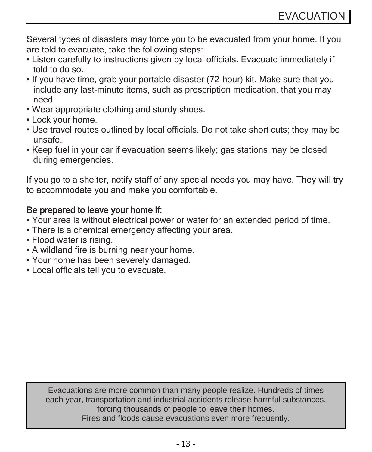Several types of disasters may force you to be evacuated from your home. If you are told to evacuate, take the following steps:

- Listen carefully to instructions given by local officials. Evacuate immediately if told to do so.
- If you have time, grab your portable disaster (72-hour) kit. Make sure that you include any last-minute items, such as prescription medication, that you may need.
- Wear appropriate clothing and sturdy shoes.
- Lock your home.
- Use travel routes outlined by local officials. Do not take short cuts; they may be unsafe.
- Keep fuel in your car if evacuation seems likely; gas stations may be closed during emergencies.

If you go to a shelter, notify staff of any special needs you may have. They will try to accommodate you and make you comfortable.

## Be prepared to leave your home if:

- Your area is without electrical power or water for an extended period of time.
- There is a chemical emergency affecting your area.
- Flood water is rising.
- A wildland fire is burning near your home.
- Your home has been severely damaged.
- Local officials tell you to evacuate.

Evacuations are more common than many people realize. Hundreds of times each year, transportation and industrial accidents release harmful substances, forcing thousands of people to leave their homes. Fires and floods cause evacuations even more frequently.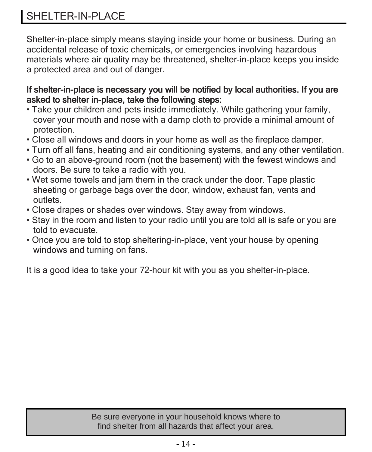# SHELTER-IN-PLACE

Shelter-in-place simply means staying inside your home or business. During an accidental release of toxic chemicals, or emergencies involving hazardous materials where air quality may be threatened, shelter-in-place keeps you inside a protected area and out of danger.

#### If shelter-in-place is necessary you will be notified by local authorities. If you are asked to shelter in-place, take the following steps:

- Take your children and pets inside immediately. While gathering your family, cover your mouth and nose with a damp cloth to provide a minimal amount of protection.
- Close all windows and doors in your home as well as the fireplace damper.
- Turn off all fans, heating and air conditioning systems, and any other ventilation.
- Go to an above-ground room (not the basement) with the fewest windows and doors. Be sure to take a radio with you.
- Wet some towels and jam them in the crack under the door. Tape plastic sheeting or garbage bags over the door, window, exhaust fan, vents and outlets.
- Close drapes or shades over windows. Stay away from windows.
- Stay in the room and listen to your radio until you are told all is safe or you are told to evacuate.
- Once you are told to stop sheltering-in-place, vent your house by opening windows and turning on fans.

It is a good idea to take your 72-hour kit with you as you shelter-in-place.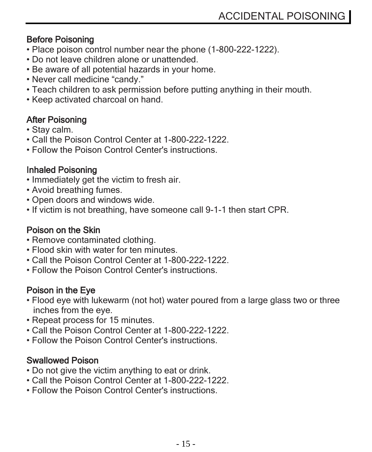## Before Poisoning

- Place poison control number near the phone (1-800-222-1222).
- Do not leave children alone or unattended.
- Be aware of all potential hazards in your home.
- Never call medicine "candy."
- Teach children to ask permission before putting anything in their mouth.
- Keep activated charcoal on hand.

## After Poisoning

- Stay calm.
- Call the Poison Control Center at 1-800-222-1222.
- Follow the Poison Control Center's instructions.

### Inhaled Poisoning

- Immediately get the victim to fresh air.
- Avoid breathing fumes.
- Open doors and windows wide.
- If victim is not breathing, have someone call 9-1-1 then start CPR.

## Poison on the Skin

- Remove contaminated clothing.
- Flood skin with water for ten minutes.
- Call the Poison Control Center at 1-800-222-1222.
- Follow the Poison Control Center's instructions.

## Poison in the Eye

- Flood eye with lukewarm (not hot) water poured from a large glass two or three inches from the eye.
- Repeat process for 15 minutes.
- Call the Poison Control Center at 1-800-222-1222.
- Follow the Poison Control Center's instructions.

#### Swallowed Poison

- Do not give the victim anything to eat or drink.
- Call the Poison Control Center at 1-800-222-1222.
- Follow the Poison Control Center's instructions.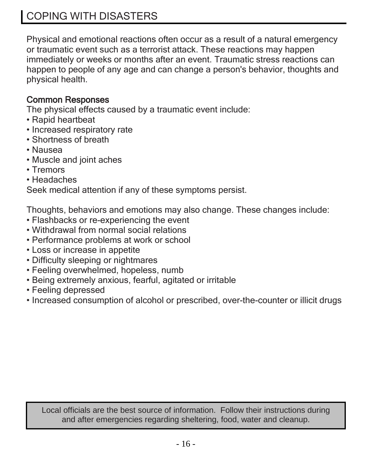# COPING WITH DISASTERS

Physical and emotional reactions often occur as a result of a natural emergency or traumatic event such as a terrorist attack. These reactions may happen immediately or weeks or months after an event. Traumatic stress reactions can happen to people of any age and can change a person's behavior, thoughts and physical health.

#### Common Responses

The physical effects caused by a traumatic event include:

- Rapid heartbeat
- Increased respiratory rate
- Shortness of breath
- Nausea
- Muscle and joint aches
- Tremors
- Headaches

Seek medical attention if any of these symptoms persist.

Thoughts, behaviors and emotions may also change. These changes include:

- Flashbacks or re-experiencing the event
- Withdrawal from normal social relations
- Performance problems at work or school
- Loss or increase in appetite
- Difficulty sleeping or nightmares
- Feeling overwhelmed, hopeless, numb
- Being extremely anxious, fearful, agitated or irritable
- Feeling depressed
- Increased consumption of alcohol or prescribed, over-the-counter or illicit drugs

Local officials are the best source of information. Follow their instructions during and after emergencies regarding sheltering, food, water and cleanup.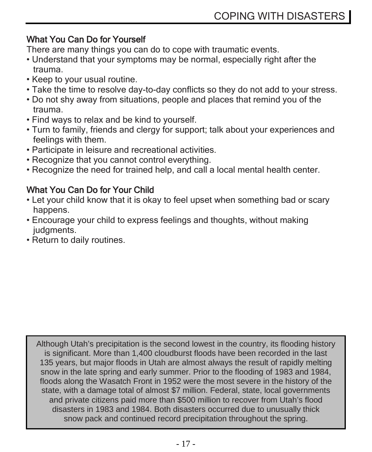## What You Can Do for Yourself

There are many things you can do to cope with traumatic events.

- Understand that your symptoms may be normal, especially right after the trauma.
- Keep to your usual routine.
- Take the time to resolve day-to-day conflicts so they do not add to your stress.
- Do not shy away from situations, people and places that remind you of the trauma.
- Find ways to relax and be kind to yourself.
- Turn to family, friends and clergy for support; talk about your experiences and feelings with them.
- Participate in leisure and recreational activities.
- Recognize that you cannot control everything.
- Recognize the need for trained help, and call a local mental health center.

# What You Can Do for Your Child

- Let your child know that it is okay to feel upset when something bad or scary happens.
- Encourage your child to express feelings and thoughts, without making judgments.
- Return to daily routines.

Although Utah's precipitation is the second lowest in the country, its flooding history is significant. More than 1,400 cloudburst floods have been recorded in the last 135 years, but major floods in Utah are almost always the result of rapidly melting snow in the late spring and early summer. Prior to the flooding of 1983 and 1984, floods along the Wasatch Front in 1952 were the most severe in the history of the state, with a damage total of almost \$7 million. Federal, state, local governments and private citizens paid more than \$500 million to recover from Utah's flood disasters in 1983 and 1984. Both disasters occurred due to unusually thick snow pack and continued record precipitation throughout the spring.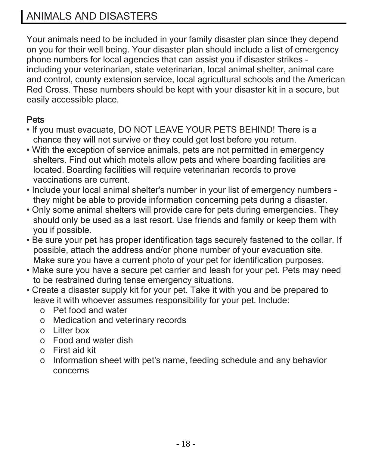Your animals need to be included in your family disaster plan since they depend on you for their well being. Your disaster plan should include a list of emergency phone numbers for local agencies that can assist you if disaster strikes including your veterinarian, state veterinarian, local animal shelter, animal care and control, county extension service, local agricultural schools and the American Red Cross. These numbers should be kept with your disaster kit in a secure, but easily accessible place.

## Pets

- If you must evacuate, DO NOT LEAVE YOUR PETS BEHIND! There is a chance they will not survive or they could get lost before you return.
- With the exception of service animals, pets are not permitted in emergency shelters. Find out which motels allow pets and where boarding facilities are located. Boarding facilities will require veterinarian records to prove vaccinations are current.
- Include your local animal shelter's number in your list of emergency numbers they might be able to provide information concerning pets during a disaster.
- Only some animal shelters will provide care for pets during emergencies. They should only be used as a last resort. Use friends and family or keep them with you if possible.
- Be sure your pet has proper identification tags securely fastened to the collar. If possible, attach the address and/or phone number of your evacuation site. Make sure you have a current photo of your pet for identification purposes.
- Make sure you have a secure pet carrier and leash for your pet. Pets may need to be restrained during tense emergency situations.
- Create a disaster supply kit for your pet. Take it with you and be prepared to leave it with whoever assumes responsibility for your pet. Include:
	- o Pet food and water
	- o Medication and veterinary records
	- o Litter box
	- o Food and water dish
	- o First aid kit
	- o Information sheet with pet's name, feeding schedule and any behavior concerns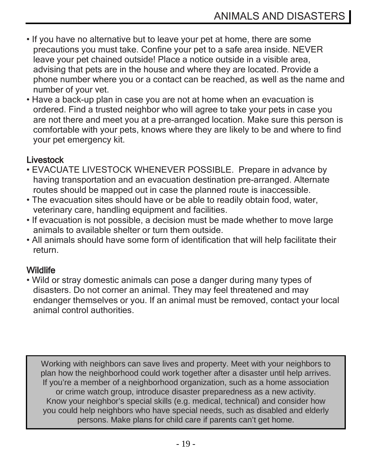- If you have no alternative but to leave your pet at home, there are some precautions you must take. Confine your pet to a safe area inside. NEVER leave your pet chained outside! Place a notice outside in a visible area, advising that pets are in the house and where they are located. Provide a phone number where you or a contact can be reached, as well as the name and number of your vet.
- Have a back-up plan in case you are not at home when an evacuation is ordered. Find a trusted neighbor who will agree to take your pets in case you are not there and meet you at a pre-arranged location. Make sure this person is comfortable with your pets, knows where they are likely to be and where to find your pet emergency kit.

#### **Livestock**

- EVACUATE LIVESTOCK WHENEVER POSSIBLE. Prepare in advance by having transportation and an evacuation destination pre-arranged. Alternate routes should be mapped out in case the planned route is inaccessible.
- The evacuation sites should have or be able to readily obtain food, water, veterinary care, handling equipment and facilities.
- If evacuation is not possible, a decision must be made whether to move large animals to available shelter or turn them outside.
- All animals should have some form of identification that will help facilitate their return.

## **Wildlife**

• Wild or stray domestic animals can pose a danger during many types of disasters. Do not corner an animal. They may feel threatened and may endanger themselves or you. If an animal must be removed, contact your local animal control authorities.

Working with neighbors can save lives and property. Meet with your neighbors to plan how the neighborhood could work together after a disaster until help arrives. If you're a member of a neighborhood organization, such as a home association or crime watch group, introduce disaster preparedness as a new activity. Know your neighbor's special skills (e.g. medical, technical) and consider how you could help neighbors who have special needs, such as disabled and elderly persons. Make plans for child care if parents can't get home.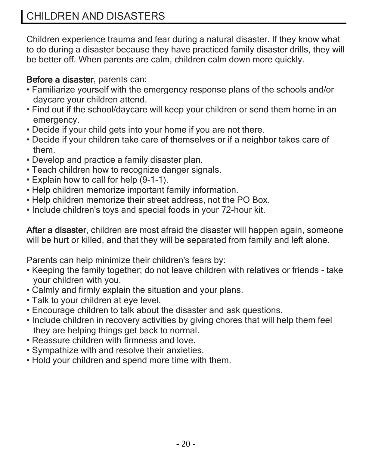Children experience trauma and fear during a natural disaster. If they know what to do during a disaster because they have practiced family disaster drills, they will be better off. When parents are calm, children calm down more quickly.

#### Before a disaster, parents can:

- Familiarize yourself with the emergency response plans of the schools and/or daycare your children attend.
- Find out if the school/daycare will keep your children or send them home in an emergency.
- Decide if your child gets into your home if you are not there.
- Decide if your children take care of themselves or if a neighbor takes care of them.
- Develop and practice a family disaster plan.
- Teach children how to recognize danger signals.
- Explain how to call for help (9-1-1).
- Help children memorize important family information.
- Help children memorize their street address, not the PO Box.
- Include children's toys and special foods in your 72-hour kit.

After a disaster, children are most afraid the disaster will happen again, someone will be hurt or killed, and that they will be separated from family and left alone.

Parents can help minimize their children's fears by:

- Keeping the family together; do not leave children with relatives or friends take your children with you.
- Calmly and firmly explain the situation and your plans.
- Talk to your children at eye level.
- Encourage children to talk about the disaster and ask questions.
- Include children in recovery activities by giving chores that will help them feel they are helping things get back to normal.
- Reassure children with firmness and love.
- Sympathize with and resolve their anxieties.
- Hold your children and spend more time with them.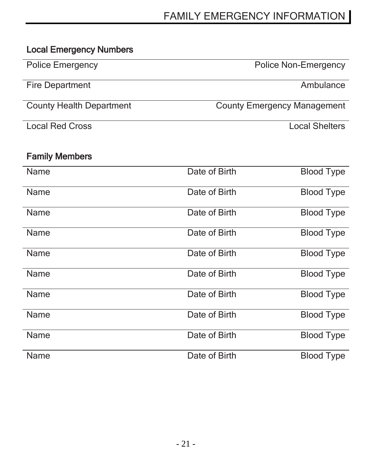# FAMILY EMERGENCY INFORMATION

| <b>Police Emergency</b>         |               | <b>Police Non-Emergency</b>        |
|---------------------------------|---------------|------------------------------------|
| <b>Fire Department</b>          |               | Ambulance                          |
| <b>County Health Department</b> |               | <b>County Emergency Management</b> |
| <b>Local Red Cross</b>          |               | <b>Local Shelters</b>              |
| <b>Family Members</b>           |               |                                    |
| Name                            | Date of Birth | <b>Blood Type</b>                  |
| Name                            | Date of Birth | <b>Blood Type</b>                  |
| Name                            | Date of Birth | <b>Blood Type</b>                  |
| Name                            | Date of Birth | <b>Blood Type</b>                  |
| Name                            | Date of Birth | <b>Blood Type</b>                  |
| Name                            | Date of Birth | <b>Blood Type</b>                  |
| Name                            | Date of Birth | <b>Blood Type</b>                  |
| Name                            | Date of Birth | <b>Blood Type</b>                  |
| Name                            | Date of Birth | <b>Blood Type</b>                  |
| Name                            | Date of Birth | <b>Blood Type</b>                  |

Local Emergency Numbers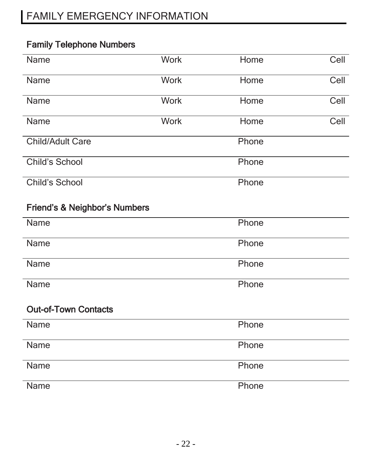# Family Telephone Numbers

| Name                          | <b>Work</b> | Home  | Cell |
|-------------------------------|-------------|-------|------|
| Name                          | <b>Work</b> | Home  | Cell |
| Name                          | <b>Work</b> | Home  | Cell |
| Name                          | <b>Work</b> | Home  | Cell |
| Child/Adult Care              |             | Phone |      |
| Child's School                |             | Phone |      |
| Child's School                |             | Phone |      |
| Friend's & Neighbor's Numbers |             |       |      |
| Name                          |             | Phone |      |
| Name                          |             | Phone |      |
| Name                          |             | Phone |      |
| Name                          |             | Phone |      |
| <b>Out-of-Town Contacts</b>   |             |       |      |
| Name                          |             | Phone |      |
| Name                          |             | Phone |      |
| Name                          |             | Phone |      |
| Name                          |             | Phone |      |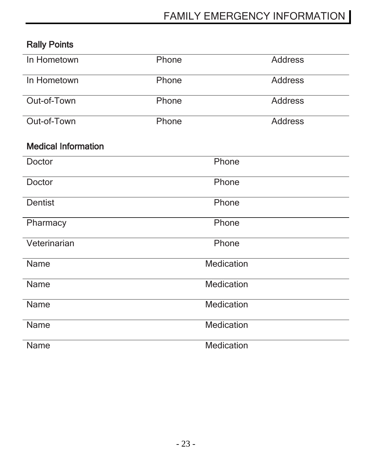# FAMILY EMERGENCY INFORMATION

# Rally Points

| In Hometown                | Phone      | <b>Address</b> |
|----------------------------|------------|----------------|
| In Hometown                | Phone      | <b>Address</b> |
| Out-of-Town                | Phone      | <b>Address</b> |
| Out-of-Town                | Phone      | <b>Address</b> |
| <b>Medical Information</b> |            |                |
| Doctor                     | Phone      |                |
| Doctor                     | Phone      |                |
| Dentist                    | Phone      |                |
| Pharmacy                   | Phone      |                |
| Veterinarian               | Phone      |                |
| Name                       | Medication |                |
| Name                       | Medication |                |
| Name                       | Medication |                |
| Name                       | Medication |                |
| Name                       | Medication |                |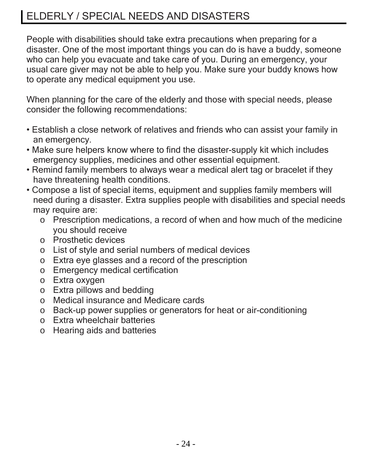# ELDERLY / SPECIAL NEEDS AND DISASTERS

People with disabilities should take extra precautions when preparing for a disaster. One of the most important things you can do is have a buddy, someone who can help you evacuate and take care of you. During an emergency, your usual care giver may not be able to help you. Make sure your buddy knows how to operate any medical equipment you use.

When planning for the care of the elderly and those with special needs, please consider the following recommendations:

- Establish a close network of relatives and friends who can assist your family in an emergency.
- Make sure helpers know where to find the disaster-supply kit which includes emergency supplies, medicines and other essential equipment.
- Remind family members to always wear a medical alert tag or bracelet if they have threatening health conditions.
- Compose a list of special items, equipment and supplies family members will need during a disaster. Extra supplies people with disabilities and special needs may require are:
	- o Prescription medications, a record of when and how much of the medicine you should receive
	- o Prosthetic devices
	- o List of style and serial numbers of medical devices
	- o Extra eye glasses and a record of the prescription
	- o Emergency medical certification
	- o Extra oxygen
	- o Extra pillows and bedding
	- o Medical insurance and Medicare cards
	- o Back-up power supplies or generators for heat or air-conditioning
	- o Extra wheelchair batteries
	- o Hearing aids and batteries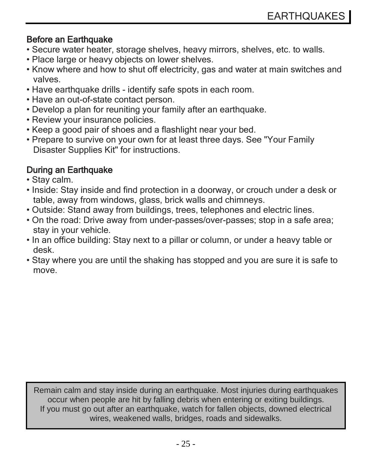#### Before an Earthquake

- Secure water heater, storage shelves, heavy mirrors, shelves, etc. to walls.
- Place large or heavy objects on lower shelves.
- Know where and how to shut off electricity, gas and water at main switches and valves.
- Have earthquake drills identify safe spots in each room.
- Have an out-of-state contact person.
- Develop a plan for reuniting your family after an earthquake.
- Review your insurance policies.
- Keep a good pair of shoes and a flashlight near your bed.
- Prepare to survive on your own for at least three days. See "Your Family Disaster Supplies Kit" for instructions.

# During an Earthquake

- Stay calm.
- Inside: Stay inside and find protection in a doorway, or crouch under a desk or table, away from windows, glass, brick walls and chimneys.
- Outside: Stand away from buildings, trees, telephones and electric lines.
- On the road: Drive away from under-passes/over-passes; stop in a safe area; stay in your vehicle.
- In an office building: Stay next to a pillar or column, or under a heavy table or desk.
- Stay where you are until the shaking has stopped and you are sure it is safe to move.

Remain calm and stay inside during an earthquake. Most injuries during earthquakes occur when people are hit by falling debris when entering or exiting buildings. If you must go out after an earthquake, watch for fallen objects, downed electrical wires, weakened walls, bridges, roads and sidewalks.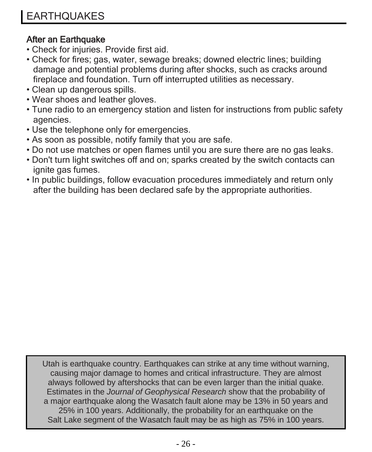#### After an Earthquake

- Check for injuries. Provide first aid.
- Check for fires; gas, water, sewage breaks; downed electric lines; building damage and potential problems during after shocks, such as cracks around fireplace and foundation. Turn off interrupted utilities as necessary.
- Clean up dangerous spills.
- Wear shoes and leather gloves.
- Tune radio to an emergency station and listen for instructions from public safety agencies.
- Use the telephone only for emergencies.
- As soon as possible, notify family that you are safe.
- Do not use matches or open flames until you are sure there are no gas leaks.
- Don't turn light switches off and on; sparks created by the switch contacts can ignite gas fumes.
- In public buildings, follow evacuation procedures immediately and return only after the building has been declared safe by the appropriate authorities.

Utah is earthquake country. Earthquakes can strike at any time without warning, causing major damage to homes and critical infrastructure. They are almost always followed by aftershocks that can be even larger than the initial quake. Estimates in the *Journal of Geophysical Research* show that the probability of a major earthquake along the Wasatch fault alone may be 13% in 50 years and 25% in 100 years. Additionally, the probability for an earthquake on the Salt Lake segment of the Wasatch fault may be as high as 75% in 100 years.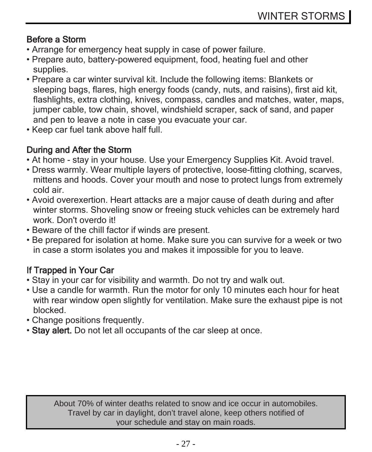#### Before a Storm

- Arrange for emergency heat supply in case of power failure.
- Prepare auto, battery-powered equipment, food, heating fuel and other supplies.
- Prepare a car winter survival kit. Include the following items: Blankets or sleeping bags, flares, high energy foods (candy, nuts, and raisins), first aid kit, flashlights, extra clothing, knives, compass, candles and matches, water, maps, jumper cable, tow chain, shovel, windshield scraper, sack of sand, and paper and pen to leave a note in case you evacuate your car.
- Keep car fuel tank above half full.

## During and After the Storm

- At home stay in your house. Use your Emergency Supplies Kit. Avoid travel.
- Dress warmly. Wear multiple layers of protective, loose-fitting clothing, scarves, mittens and hoods. Cover your mouth and nose to protect lungs from extremely cold air.
- Avoid overexertion. Heart attacks are a major cause of death during and after winter storms. Shoveling snow or freeing stuck vehicles can be extremely hard work. Don't overdo it!
- Beware of the chill factor if winds are present.
- Be prepared for isolation at home. Make sure you can survive for a week or two in case a storm isolates you and makes it impossible for you to leave.

# If Trapped in Your Car

- Stay in your car for visibility and warmth. Do not try and walk out.
- Use a candle for warmth. Run the motor for only 10 minutes each hour for heat with rear window open slightly for ventilation. Make sure the exhaust pipe is not blocked.
- Change positions frequently.
- Stay alert. Do not let all occupants of the car sleep at once.

About 70% of winter deaths related to snow and ice occur in automobiles. Travel by car in daylight, don't travel alone, keep others notified of your schedule and stay on main roads.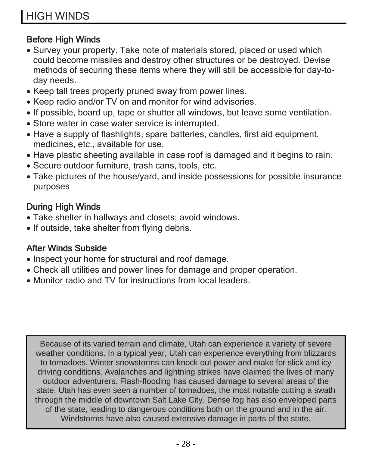## Before High Winds

- Survey your property. Take note of materials stored, placed or used which could become missiles and destroy other structures or be destroyed. Devise methods of securing these items where they will still be accessible for day-today needs.
- Keep tall trees properly pruned away from power lines.
- Keep radio and/or TV on and monitor for wind advisories.
- If possible, board up, tape or shutter all windows, but leave some ventilation.
- Store water in case water service is interrupted.
- Have a supply of flashlights, spare batteries, candles, first aid equipment, medicines, etc., available for use.
- Have plastic sheeting available in case roof is damaged and it begins to rain.
- Secure outdoor furniture, trash cans, tools, etc.
- Take pictures of the house/yard, and inside possessions for possible insurance purposes

# During High Winds

- Take shelter in hallways and closets; avoid windows.
- If outside, take shelter from flying debris.

# After Winds Subside

- Inspect your home for structural and roof damage.
- Check all utilities and power lines for damage and proper operation.
- Monitor radio and TV for instructions from local leaders.

Because of its varied terrain and climate, Utah can experience a variety of severe weather conditions. In a typical year, Utah can experience everything from blizzards to tornadoes. Winter snowstorms can knock out power and make for slick and icy driving conditions. Avalanches and lightning strikes have claimed the lives of many outdoor adventurers. Flash-flooding has caused damage to several areas of the state. Utah has even seen a number of tornadoes, the most notable cutting a swath through the middle of downtown Salt Lake City. Dense fog has also enveloped parts of the state, leading to dangerous conditions both on the ground and in the air. Windstorms have also caused extensive damage in parts of the state.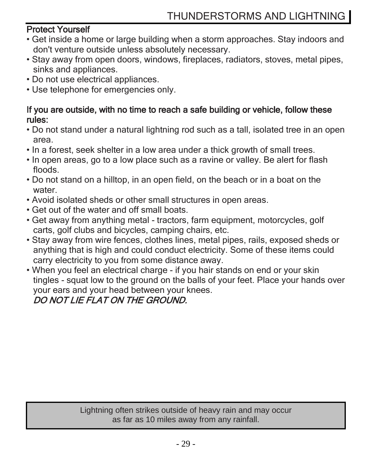### Protect Yourself

- Get inside a home or large building when a storm approaches. Stay indoors and don't venture outside unless absolutely necessary.
- Stay away from open doors, windows, fireplaces, radiators, stoves, metal pipes, sinks and appliances.
- Do not use electrical appliances.
- Use telephone for emergencies only.

#### If you are outside, with no time to reach a safe building or vehicle, follow these rules:

- Do not stand under a natural lightning rod such as a tall, isolated tree in an open area.
- In a forest, seek shelter in a low area under a thick growth of small trees.
- In open areas, go to a low place such as a ravine or valley. Be alert for flash floods.
- Do not stand on a hilltop, in an open field, on the beach or in a boat on the water.
- Avoid isolated sheds or other small structures in open areas.
- Get out of the water and off small boats.
- Get away from anything metal tractors, farm equipment, motorcycles, golf carts, golf clubs and bicycles, camping chairs, etc.
- Stay away from wire fences, clothes lines, metal pipes, rails, exposed sheds or anything that is high and could conduct electricity. Some of these items could carry electricity to you from some distance away.
- When you feel an electrical charge if you hair stands on end or your skin tingles - squat low to the ground on the balls of your feet. Place your hands over your ears and your head between your knees.

# DO NOT LIE FLAT ON THE GROUND.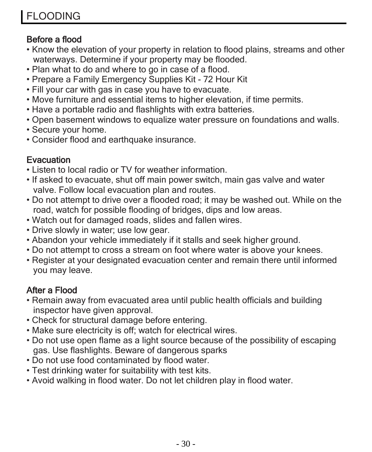## Before a flood

- Know the elevation of your property in relation to flood plains, streams and other waterways. Determine if your property may be flooded.
- Plan what to do and where to go in case of a flood.
- Prepare a Family Emergency Supplies Kit 72 Hour Kit
- Fill your car with gas in case you have to evacuate.
- Move furniture and essential items to higher elevation, if time permits.
- Have a portable radio and flashlights with extra batteries.
- Open basement windows to equalize water pressure on foundations and walls.
- Secure your home.
- Consider flood and earthquake insurance.

## **Evacuation**

- Listen to local radio or TV for weather information.
- If asked to evacuate, shut off main power switch, main gas valve and water valve. Follow local evacuation plan and routes.
- Do not attempt to drive over a flooded road; it may be washed out. While on the road, watch for possible flooding of bridges, dips and low areas.
- Watch out for damaged roads, slides and fallen wires.
- Drive slowly in water; use low gear.
- Abandon your vehicle immediately if it stalls and seek higher ground.
- Do not attempt to cross a stream on foot where water is above your knees.
- Register at your designated evacuation center and remain there until informed you may leave.

# After a Flood

- Remain away from evacuated area until public health officials and building inspector have given approval.
- Check for structural damage before entering.
- Make sure electricity is off; watch for electrical wires.
- Do not use open flame as a light source because of the possibility of escaping gas. Use flashlights. Beware of dangerous sparks
- Do not use food contaminated by flood water.
- Test drinking water for suitability with test kits.
- Avoid walking in flood water. Do not let children play in flood water.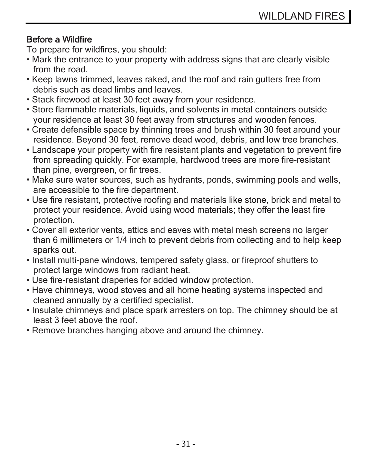#### Before a Wildfire

To prepare for wildfires, you should:

- Mark the entrance to your property with address signs that are clearly visible from the road.
- Keep lawns trimmed, leaves raked, and the roof and rain gutters free from debris such as dead limbs and leaves.
- Stack firewood at least 30 feet away from your residence.
- Store flammable materials, liquids, and solvents in metal containers outside your residence at least 30 feet away from structures and wooden fences.
- Create defensible space by thinning trees and brush within 30 feet around your residence. Beyond 30 feet, remove dead wood, debris, and low tree branches.
- Landscape your property with fire resistant plants and vegetation to prevent fire from spreading quickly. For example, hardwood trees are more fire-resistant than pine, evergreen, or fir trees.
- Make sure water sources, such as hydrants, ponds, swimming pools and wells, are accessible to the fire department.
- Use fire resistant, protective roofing and materials like stone, brick and metal to protect your residence. Avoid using wood materials; they offer the least fire protection.
- Cover all exterior vents, attics and eaves with metal mesh screens no larger than 6 millimeters or 1/4 inch to prevent debris from collecting and to help keep sparks out.
- Install multi-pane windows, tempered safety glass, or fireproof shutters to protect large windows from radiant heat.
- Use fire-resistant draperies for added window protection.
- Have chimneys, wood stoves and all home heating systems inspected and cleaned annually by a certified specialist.
- Insulate chimneys and place spark arresters on top. The chimney should be at least 3 feet above the roof.
- Remove branches hanging above and around the chimney.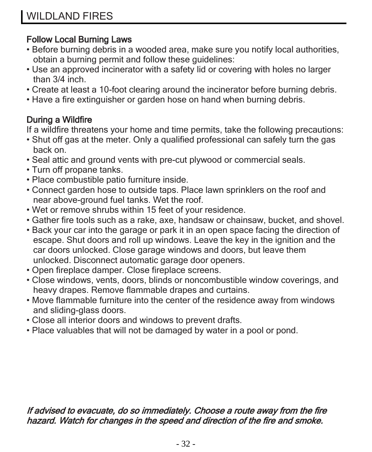## Follow Local Burning Laws

- Before burning debris in a wooded area, make sure you notify local authorities, obtain a burning permit and follow these guidelines:
- Use an approved incinerator with a safety lid or covering with holes no larger than 3/4 inch.
- Create at least a 10-foot clearing around the incinerator before burning debris.
- Have a fire extinguisher or garden hose on hand when burning debris.

# During a Wildfire

If a wildfire threatens your home and time permits, take the following precautions:

- Shut off gas at the meter. Only a qualified professional can safely turn the gas back on.
- Seal attic and ground vents with pre-cut plywood or commercial seals.
- Turn off propane tanks.
- Place combustible patio furniture inside.
- Connect garden hose to outside taps. Place lawn sprinklers on the roof and near above-ground fuel tanks. Wet the roof.
- Wet or remove shrubs within 15 feet of your residence.
- Gather fire tools such as a rake, axe, handsaw or chainsaw, bucket, and shovel.
- Back your car into the garage or park it in an open space facing the direction of escape. Shut doors and roll up windows. Leave the key in the ignition and the car doors unlocked. Close garage windows and doors, but leave them unlocked. Disconnect automatic garage door openers.
- Open fireplace damper. Close fireplace screens.
- Close windows, vents, doors, blinds or noncombustible window coverings, and heavy drapes. Remove flammable drapes and curtains.
- Move flammable furniture into the center of the residence away from windows and sliding-glass doors.
- Close all interior doors and windows to prevent drafts.
- Place valuables that will not be damaged by water in a pool or pond.

### If advised to evacuate, do so immediately. Choose a route away from the fire hazard. Watch for changes in the speed and direction of the fire and smoke.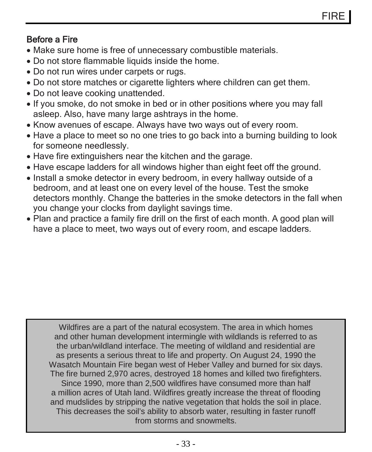## Before a Fire

- Make sure home is free of unnecessary combustible materials.
- Do not store flammable liquids inside the home.
- Do not run wires under carpets or rugs.
- Do not store matches or cigarette lighters where children can get them.
- Do not leave cooking unattended.
- If you smoke, do not smoke in bed or in other positions where you may fall asleep. Also, have many large ashtrays in the home.
- Know avenues of escape. Always have two ways out of every room.
- Have a place to meet so no one tries to go back into a burning building to look for someone needlessly.
- Have fire extinguishers near the kitchen and the garage.
- Have escape ladders for all windows higher than eight feet off the ground.
- Install a smoke detector in every bedroom, in every hallway outside of a bedroom, and at least one on every level of the house. Test the smoke detectors monthly. Change the batteries in the smoke detectors in the fall when you change your clocks from daylight savings time.
- Plan and practice a family fire drill on the first of each month. A good plan will have a place to meet, two ways out of every room, and escape ladders.

Wildfires are a part of the natural ecosystem. The area in which homes and other human development intermingle with wildlands is referred to as the urban/wildland interface. The meeting of wildland and residential are as presents a serious threat to life and property. On August 24, 1990 the Wasatch Mountain Fire began west of Heber Valley and burned for six days. The fire burned 2,970 acres, destroyed 18 homes and killed two firefighters. Since 1990, more than 2,500 wildfires have consumed more than half a million acres of Utah land. Wildfires greatly increase the threat of flooding and mudslides by stripping the native vegetation that holds the soil in place. This decreases the soil's ability to absorb water, resulting in faster runoff from storms and snowmelts.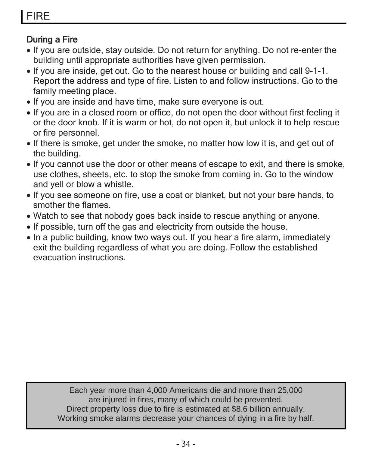# FIRE

# During a Fire

- If you are outside, stay outside. Do not return for anything. Do not re-enter the building until appropriate authorities have given permission.
- If you are inside, get out. Go to the nearest house or building and call 9-1-1. Report the address and type of fire. Listen to and follow instructions. Go to the family meeting place.
- If you are inside and have time, make sure everyone is out.
- If you are in a closed room or office, do not open the door without first feeling it or the door knob. If it is warm or hot, do not open it, but unlock it to help rescue or fire personnel.
- If there is smoke, get under the smoke, no matter how low it is, and get out of the building.
- If you cannot use the door or other means of escape to exit, and there is smoke, use clothes, sheets, etc. to stop the smoke from coming in. Go to the window and yell or blow a whistle.
- If you see someone on fire, use a coat or blanket, but not your bare hands, to smother the flames.
- Watch to see that nobody goes back inside to rescue anything or anyone.
- If possible, turn off the gas and electricity from outside the house.
- In a public building, know two ways out. If you hear a fire alarm, immediately exit the building regardless of what you are doing. Follow the established evacuation instructions.

Each year more than 4,000 Americans die and more than 25,000 are injured in fires, many of which could be prevented. Direct property loss due to fire is estimated at \$8.6 billion annually. Working smoke alarms decrease your chances of dying in a fire by half.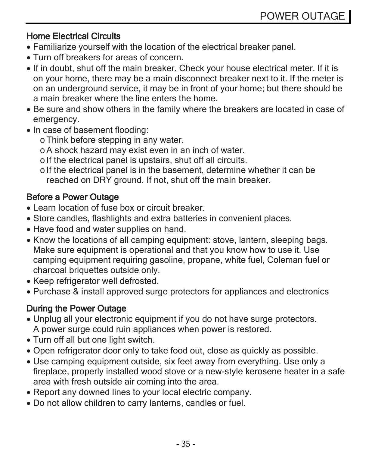#### Home Electrical Circuits

- Familiarize yourself with the location of the electrical breaker panel.
- Turn off breakers for areas of concern.
- If in doubt, shut off the main breaker. Check your house electrical meter. If it is on your home, there may be a main disconnect breaker next to it. If the meter is on an underground service, it may be in front of your home; but there should be a main breaker where the line enters the home.
- Be sure and show others in the family where the breakers are located in case of emergency.
- In case of basement flooding:
	- oThink before stepping in any water.
	- oA shock hazard may exist even in an inch of water.
	- $\circ$  If the electrical panel is upstairs, shut off all circuits.
	- $\circ$  If the electrical panel is in the basement, determine whether it can be reached on DRY ground. If not, shut off the main breaker.

## Before a Power Outage

- Learn location of fuse box or circuit breaker.
- Store candles, flashlights and extra batteries in convenient places.
- Have food and water supplies on hand.
- Know the locations of all camping equipment: stove, lantern, sleeping bags. Make sure equipment is operational and that you know how to use it. Use camping equipment requiring gasoline, propane, white fuel, Coleman fuel or charcoal briquettes outside only.
- Keep refrigerator well defrosted.
- Purchase & install approved surge protectors for appliances and electronics

# During the Power Outage

- Unplug all your electronic equipment if you do not have surge protectors. A power surge could ruin appliances when power is restored.
- Turn off all but one light switch.
- Open refrigerator door only to take food out, close as quickly as possible.
- Use camping equipment outside, six feet away from everything. Use only a fireplace, properly installed wood stove or a new-style kerosene heater in a safe area with fresh outside air coming into the area.
- Report any downed lines to your local electric company.
- Do not allow children to carry lanterns, candles or fuel.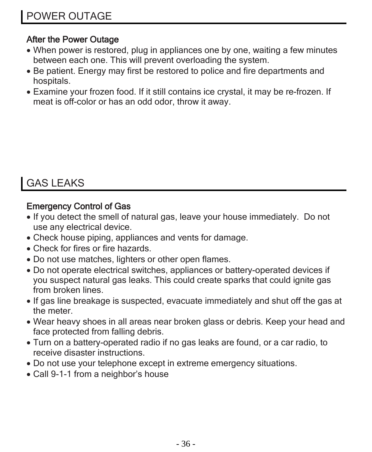### After the Power Outage

- When power is restored, plug in appliances one by one, waiting a few minutes between each one. This will prevent overloading the system.
- Be patient. Energy may first be restored to police and fire departments and hospitals.
- Examine your frozen food. If it still contains ice crystal, it may be re-frozen. If meat is off-color or has an odd odor, throw it away.

# GAS LEAKS

# Emergency Control of Gas

- If you detect the smell of natural gas, leave your house immediately. Do not use any electrical device.
- Check house piping, appliances and vents for damage.
- Check for fires or fire hazards.
- Do not use matches, lighters or other open flames.
- Do not operate electrical switches, appliances or battery-operated devices if you suspect natural gas leaks. This could create sparks that could ignite gas from broken lines.
- If gas line breakage is suspected, evacuate immediately and shut off the gas at the meter.
- Wear heavy shoes in all areas near broken glass or debris. Keep your head and face protected from falling debris.
- Turn on a battery-operated radio if no gas leaks are found, or a car radio, to receive disaster instructions.
- Do not use your telephone except in extreme emergency situations.
- Call 9-1-1 from a neighbor's house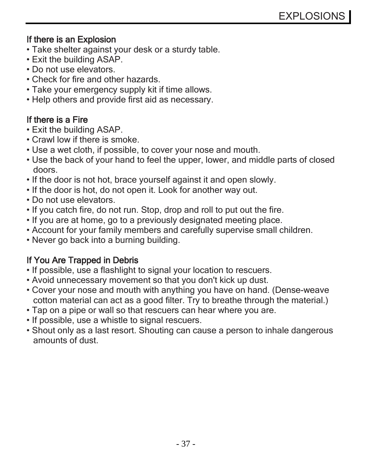#### If there is an Explosion

- Take shelter against your desk or a sturdy table.
- Exit the building ASAP.
- Do not use elevators.
- Check for fire and other hazards.
- Take your emergency supply kit if time allows.
- Help others and provide first aid as necessary.

## If there is a Fire

- Exit the building ASAP.
- Crawl low if there is smoke.
- Use a wet cloth, if possible, to cover your nose and mouth.
- Use the back of your hand to feel the upper, lower, and middle parts of closed doors.
- If the door is not hot, brace yourself against it and open slowly.
- If the door is hot, do not open it. Look for another way out.
- Do not use elevators.
- If you catch fire, do not run. Stop, drop and roll to put out the fire.
- If you are at home, go to a previously designated meeting place.
- Account for your family members and carefully supervise small children.
- Never go back into a burning building.

# If You Are Trapped in Debris

- If possible, use a flashlight to signal your location to rescuers.
- Avoid unnecessary movement so that you don't kick up dust.
- Cover your nose and mouth with anything you have on hand. (Dense-weave cotton material can act as a good filter. Try to breathe through the material.)
- Tap on a pipe or wall so that rescuers can hear where you are.
- If possible, use a whistle to signal rescuers.
- Shout only as a last resort. Shouting can cause a person to inhale dangerous amounts of dust.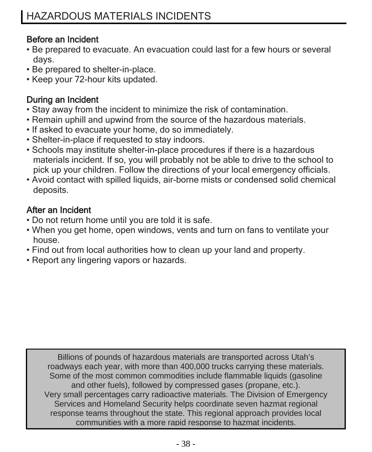## Before an Incident

- Be prepared to evacuate. An evacuation could last for a few hours or several days.
- Be prepared to shelter-in-place.
- Keep your 72-hour kits updated.

# During an Incident

- Stay away from the incident to minimize the risk of contamination.
- Remain uphill and upwind from the source of the hazardous materials.
- If asked to evacuate your home, do so immediately.
- Shelter-in-place if requested to stay indoors.
- Schools may institute shelter-in-place procedures if there is a hazardous materials incident. If so, you will probably not be able to drive to the school to pick up your children. Follow the directions of your local emergency officials.
- Avoid contact with spilled liquids, air-borne mists or condensed solid chemical deposits.

# After an Incident

- Do not return home until you are told it is safe.
- When you get home, open windows, vents and turn on fans to ventilate your house.
- Find out from local authorities how to clean up your land and property.
- Report any lingering vapors or hazards.

Billions of pounds of hazardous materials are transported across Utah's roadways each year, with more than 400,000 trucks carrying these materials. Some of the most common commodities include flammable liquids (gasoline and other fuels), followed by compressed gases (propane, etc.). Very small percentages carry radioactive materials. The Division of Emergency Services and Homeland Security helps coordinate seven hazmat regional response teams throughout the state. This regional approach provides local communities with a more rapid response to hazmat incidents.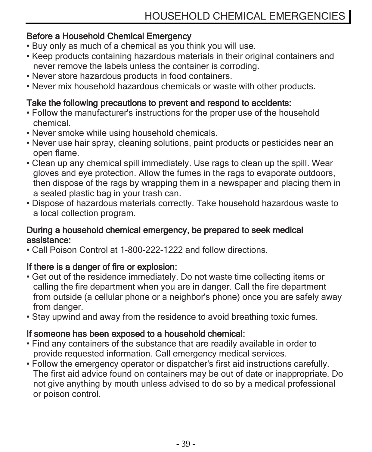#### Before a Household Chemical Emergency

- Buy only as much of a chemical as you think you will use.
- Keep products containing hazardous materials in their original containers and never remove the labels unless the container is corroding.
- Never store hazardous products in food containers.
- Never mix household hazardous chemicals or waste with other products.

## Take the following precautions to prevent and respond to accidents:

- Follow the manufacturer's instructions for the proper use of the household chemical.
- Never smoke while using household chemicals.
- Never use hair spray, cleaning solutions, paint products or pesticides near an open flame.
- Clean up any chemical spill immediately. Use rags to clean up the spill. Wear gloves and eye protection. Allow the fumes in the rags to evaporate outdoors, then dispose of the rags by wrapping them in a newspaper and placing them in a sealed plastic bag in your trash can.
- Dispose of hazardous materials correctly. Take household hazardous waste to a local collection program.

#### During a household chemical emergency, be prepared to seek medical assistance:

• Call Poison Control at 1-800-222-1222 and follow directions.

## If there is a danger of fire or explosion:

- Get out of the residence immediately. Do not waste time collecting items or calling the fire department when you are in danger. Call the fire department from outside (a cellular phone or a neighbor's phone) once you are safely away from danger.
- Stay upwind and away from the residence to avoid breathing toxic fumes.

## If someone has been exposed to a household chemical:

- Find any containers of the substance that are readily available in order to provide requested information. Call emergency medical services.
- Follow the emergency operator or dispatcher's first aid instructions carefully. The first aid advice found on containers may be out of date or inappropriate. Do not give anything by mouth unless advised to do so by a medical professional or poison control.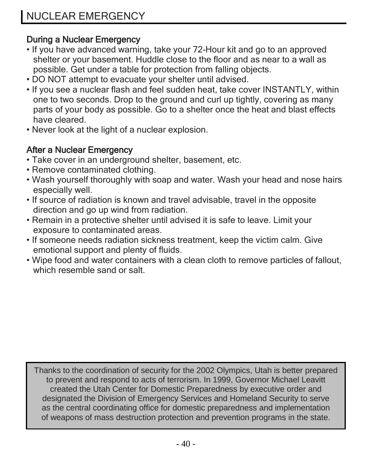## During a Nuclear Emergency

- If you have advanced warning, take your 72-Hour kit and go to an approved shelter or your basement. Huddle close to the floor and as near to a wall as possible. Get under a table for protection from falling objects.
- DO NOT attempt to evacuate your shelter until advised.
- If you see a nuclear flash and feel sudden heat, take cover INSTANTLY, within one to two seconds. Drop to the ground and curl up tightly, covering as many parts of your body as possible. Go to a shelter once the heat and blast effects have cleared.
- Never look at the light of a nuclear explosion.

## After a Nuclear Emergency

- Take cover in an underground shelter, basement, etc.
- Remove contaminated clothing.
- Wash yourself thoroughly with soap and water. Wash your head and nose hairs especially well.
- If source of radiation is known and travel advisable, travel in the opposite direction and go up wind from radiation.
- Remain in a protective shelter until advised it is safe to leave. Limit your exposure to contaminated areas.
- If someone needs radiation sickness treatment, keep the victim calm. Give emotional support and plenty of fluids.
- Wipe food and water containers with a clean cloth to remove particles of fallout, which resemble sand or salt.

Thanks to the coordination of security for the 2002 Olympics, Utah is better prepared to prevent and respond to acts of terrorism. In 1999, Governor Michael Leavitt created the Utah Center for Domestic Preparedness by executive order and designated the Division of Emergency Services and Homeland Security to serve as the central coordinating office for domestic preparedness and implementation of weapons of mass destruction protection and prevention programs in the state.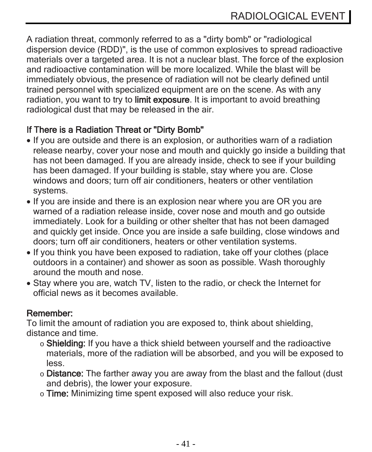A radiation threat, commonly referred to as a "dirty bomb" or "radiological dispersion device (RDD)", is the use of common explosives to spread radioactive materials over a targeted area. It is not a nuclear blast. The force of the explosion and radioactive contamination will be more localized. While the blast will be immediately obvious, the presence of radiation will not be clearly defined until trained personnel with specialized equipment are on the scene. As with any radiation, you want to try to limit exposure. It is important to avoid breathing radiological dust that may be released in the air.

#### If There is a Radiation Threat or "Dirty Bomb"

- If you are outside and there is an explosion, or authorities warn of a radiation release nearby, cover your nose and mouth and quickly go inside a building that has not been damaged. If you are already inside, check to see if your building has been damaged. If your building is stable, stay where you are. Close windows and doors; turn off air conditioners, heaters or other ventilation systems.
- If you are inside and there is an explosion near where you are OR you are warned of a radiation release inside, cover nose and mouth and go outside immediately. Look for a building or other shelter that has not been damaged and quickly get inside. Once you are inside a safe building, close windows and doors; turn off air conditioners, heaters or other ventilation systems.
- If you think you have been exposed to radiation, take off your clothes (place outdoors in a container) and shower as soon as possible. Wash thoroughly around the mouth and nose.
- Stay where you are, watch TV, listen to the radio, or check the Internet for official news as it becomes available.

#### Remember:

To limit the amount of radiation you are exposed to, think about shielding, distance and time.

- o Shielding: If you have a thick shield between yourself and the radioactive materials, more of the radiation will be absorbed, and you will be exposed to less.
- o Distance: The farther away you are away from the blast and the fallout (dust and debris), the lower your exposure.
- o Time: Minimizing time spent exposed will also reduce your risk.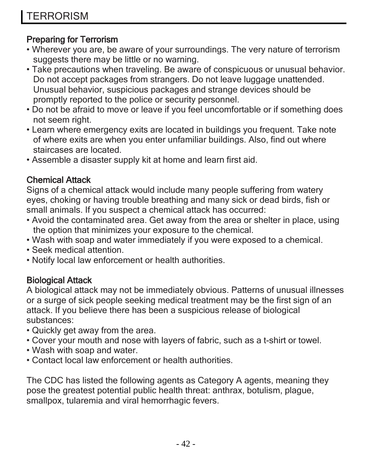### Preparing for Terrorism

- Wherever you are, be aware of your surroundings. The very nature of terrorism suggests there may be little or no warning.
- Take precautions when traveling. Be aware of conspicuous or unusual behavior. Do not accept packages from strangers. Do not leave luggage unattended. Unusual behavior, suspicious packages and strange devices should be promptly reported to the police or security personnel.
- Do not be afraid to move or leave if you feel uncomfortable or if something does not seem right.
- Learn where emergency exits are located in buildings you frequent. Take note of where exits are when you enter unfamiliar buildings. Also, find out where staircases are located.
- Assemble a disaster supply kit at home and learn first aid.

## Chemical Attack

Signs of a chemical attack would include many people suffering from watery eyes, choking or having trouble breathing and many sick or dead birds, fish or small animals. If you suspect a chemical attack has occurred:

- Avoid the contaminated area. Get away from the area or shelter in place, using the option that minimizes your exposure to the chemical.
- Wash with soap and water immediately if you were exposed to a chemical.
- Seek medical attention.
- Notify local law enforcement or health authorities.

## Biological Attack

A biological attack may not be immediately obvious. Patterns of unusual illnesses or a surge of sick people seeking medical treatment may be the first sign of an attack. If you believe there has been a suspicious release of biological substances:

- Quickly get away from the area.
- Cover your mouth and nose with layers of fabric, such as a t-shirt or towel.
- Wash with soap and water.
- Contact local law enforcement or health authorities.

The CDC has listed the following agents as Category A agents, meaning they pose the greatest potential public health threat: anthrax, botulism, plague, smallpox, tularemia and viral hemorrhagic fevers.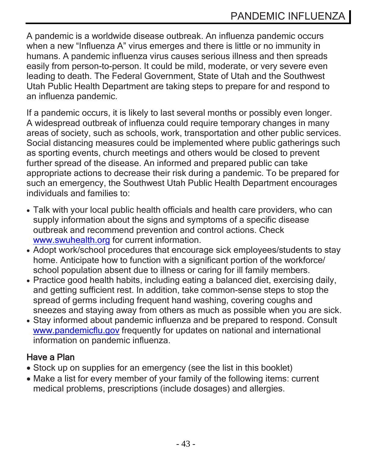A pandemic is a worldwide disease outbreak. An influenza pandemic occurs when a new "Influenza A" virus emerges and there is little or no immunity in humans. A pandemic influenza virus causes serious illness and then spreads easily from person-to-person. It could be mild, moderate, or very severe even leading to death. The Federal Government, State of Utah and the Southwest Utah Public Health Department are taking steps to prepare for and respond to an influenza pandemic.

If a pandemic occurs, it is likely to last several months or possibly even longer. A widespread outbreak of influenza could require temporary changes in many areas of society, such as schools, work, transportation and other public services. Social distancing measures could be implemented where public gatherings such as sporting events, church meetings and others would be closed to prevent further spread of the disease. An informed and prepared public can take appropriate actions to decrease their risk during a pandemic. To be prepared for such an emergency, the Southwest Utah Public Health Department encourages individuals and families to:

- Talk with your local public health officials and health care providers, who can supply information about the signs and symptoms of a specific disease outbreak and recommend prevention and control actions. Check [www.swuhealth.org](http://www.slvhealth.org/) for current information.
- Adopt work/school procedures that encourage sick employees/students to stay home. Anticipate how to function with a significant portion of the workforce/ school population absent due to illness or caring for ill family members.
- Practice good health habits, including eating a balanced diet, exercising daily, and getting sufficient rest. In addition, take common-sense steps to stop the spread of germs including frequent hand washing, covering coughs and sneezes and staying away from others as much as possible when you are sick.
- Stay informed about pandemic influenza and be prepared to respond. Consult [www.pandemicflu.gov](http://www.ready.gov/america/redirect.html?url=http://www.pandemicflu.gov) frequently for updates on national and international information on pandemic influenza.

#### Have a Plan

- Stock up on supplies for an emergency (see the list in this booklet)
- Make a list for every member of your family of the following items: current medical problems, prescriptions (include dosages) and allergies.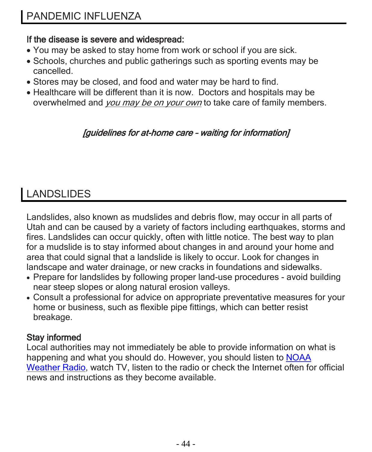#### If the disease is severe and widespread:

- You may be asked to stay home from work or school if you are sick.
- Schools, churches and public gatherings such as sporting events may be cancelled.
- Stores may be closed, and food and water may be hard to find.
- Healthcare will be different than it is now. Doctors and hospitals may be overwhelmed and you may be on your own to take care of family members.

## [guidelines for at-home care – waiting for information]

# LANDSLIDES

Landslides, also known as mudslides and debris flow, may occur in all parts of Utah and can be caused by a variety of factors including earthquakes, storms and fires. Landslides can occur quickly, often with little notice. The best way to plan for a mudslide is to stay informed about changes in and around your home and area that could signal that a landslide is likely to occur. Look for changes in landscape and water drainage, or new cracks in foundations and sidewalks.

- Prepare for landslides by following proper land-use procedures avoid building near steep slopes or along natural erosion valleys.
- Consult a professional for advice on appropriate preventative measures for your home or business, such as flexible pipe fittings, which can better resist breakage.

### Stay informed

Local authorities may not immediately be able to provide information on what is happening and what you should do. However, you should listen to NOAA [Weather Radio,](http://www.ready.gov/america/redirect.html?url=http://www.nws.noaa.gov/nwr) watch TV, listen to the radio or check the Internet often for official news and instructions as they become available.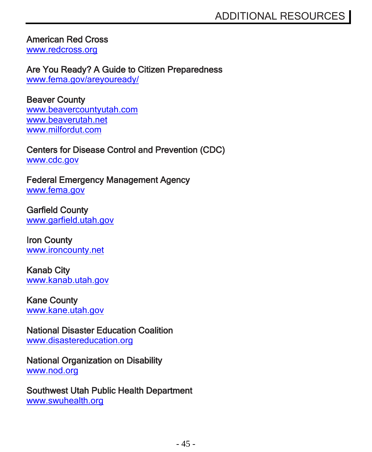American Red Cross [www.redcross.org](http://www.redcross.org/)

Are You Ready? A Guide to Citizen Preparedness [www.fema.gov/areyouready/](http://www.fema.gov/areyouready/)

Beaver County [www.beavercountyutah.com](http://www.beavercountyutah.com/) [www.beaverutah.net](http://www.beaverutah.net/) [www.milfordut.com](http://www.milfordut.com/)

Centers for Disease Control and Prevention (CDC) [www.cdc.gov](http://www.cdc.gov/)

Federal Emergency Management Agency [www.fema.gov](http://www.fema.gov/)

Garfield County [www.garfield.utah.gov](http://www.garfield.utah.gov/)

Iron County [www.ironcounty.net](http://www.ironcounty.net/)

Kanab City [www.kanab.utah.gov](http://www.kanab.utah.gov/)

Kane County [www.kane.utah.gov](http://www.kane.utah.gov/)

National Disaster Education Coalition [www.disastereducation.org](http://www.disastereducation.org/)

National Organization on Disability [www.nod.org](http://www.nod.org/)

Southwest Utah Public Health Department [www.swuhealth.org](http://www.slvhealth.org/)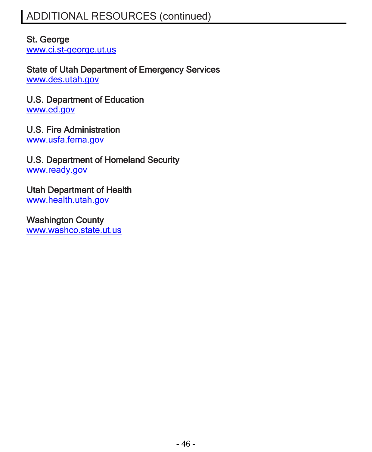#### St. George

[www.ci.st-george.ut.us](http://www.ci.st-george.ut.us/)

# State of Utah Department of Emergency Services

[www.des.utah.gov](http://www.des.utah.gov/)

#### U.S. Department of Education

[www.ed.gov](http://www.ed.gov/)

#### U.S. Fire Administration

[www.usfa.fema.gov](http://www.usfa.fema.gov/)

## U.S. Department of Homeland Security

[www.ready.gov](http://www.ready.gov/)

# Utah Department of Health

[www.health.utah.gov](http://www.health.utah.gov/)

#### Washington County [www.washco.state.ut.us](http://www.washco.state.ut.us/)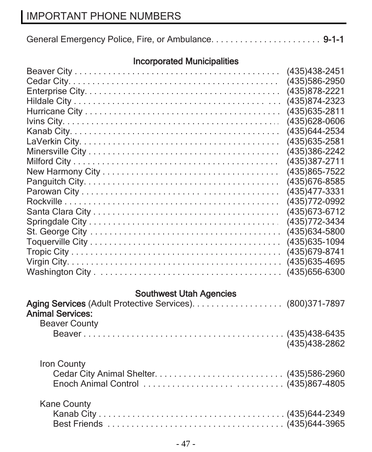|--|

#### Incorporated Municipalities

|                                                            | (435) 438-2451 |
|------------------------------------------------------------|----------------|
|                                                            | (435) 586-2950 |
|                                                            | (435) 878-2221 |
|                                                            | (435) 874-2323 |
|                                                            | (435) 635-2811 |
|                                                            | (435)628-0606  |
|                                                            | (435) 644-2534 |
|                                                            | (435) 635-2581 |
|                                                            | (435) 386-2242 |
|                                                            | (435) 387-2711 |
|                                                            | (435)865-7522  |
|                                                            | (435) 676-8585 |
|                                                            | (435) 477-3331 |
|                                                            | (435) 772-0992 |
|                                                            | (435) 673-6712 |
|                                                            | (435) 772-3434 |
|                                                            | (435) 634-5800 |
|                                                            | (435) 635-1094 |
|                                                            | (435) 679-8741 |
|                                                            | (435) 635-4695 |
|                                                            | (435) 656-6300 |
|                                                            |                |
| <b>Southwest Utah Agencies</b>                             |                |
| Aging Services (Adult Protective Services). (800) 371-7897 |                |
| <b>Animal Services:</b>                                    |                |
| <b>Beaver County</b>                                       |                |
|                                                            |                |
|                                                            | (435)438-2862  |
|                                                            |                |
| Iron County                                                |                |
|                                                            |                |
|                                                            |                |
|                                                            |                |
| <b>Kane County</b>                                         |                |
|                                                            |                |
|                                                            |                |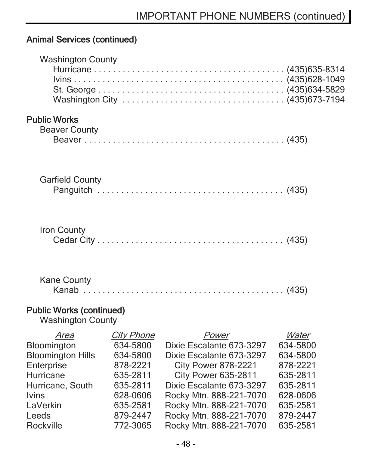# Animal Services (continued)

| <b>Washington County</b>                                                                                                                                |                                                                                                                               |                                                                                                                                                                                                                                                                   |                                                                                                                   |
|---------------------------------------------------------------------------------------------------------------------------------------------------------|-------------------------------------------------------------------------------------------------------------------------------|-------------------------------------------------------------------------------------------------------------------------------------------------------------------------------------------------------------------------------------------------------------------|-------------------------------------------------------------------------------------------------------------------|
| <b>Public Works</b><br><b>Beaver County</b>                                                                                                             |                                                                                                                               |                                                                                                                                                                                                                                                                   |                                                                                                                   |
| <b>Garfield County</b>                                                                                                                                  |                                                                                                                               |                                                                                                                                                                                                                                                                   |                                                                                                                   |
| Iron County                                                                                                                                             |                                                                                                                               |                                                                                                                                                                                                                                                                   |                                                                                                                   |
| <b>Kane County</b><br><b>Public Works (continued)</b><br><b>Washington County</b>                                                                       |                                                                                                                               |                                                                                                                                                                                                                                                                   |                                                                                                                   |
| Area<br>Bloomington<br><b>Bloomington Hills</b><br>Enterprise<br><b>Hurricane</b><br>Hurricane, South<br><b>Ivins</b><br>LaVerkin<br>Leeds<br>Rockville | <b>City Phone</b><br>634-5800<br>634-5800<br>878-2221<br>635-2811<br>635-2811<br>628-0606<br>635-2581<br>879-2447<br>772-3065 | Power<br>Dixie Escalante 673-3297<br>Dixie Escalante 673-3297<br><b>City Power 878-2221</b><br><b>City Power 635-2811</b><br>Dixie Escalante 673-3297<br>Rocky Mtn. 888-221-7070<br>Rocky Mtn. 888-221-7070<br>Rocky Mtn. 888-221-7070<br>Rocky Mtn. 888-221-7070 | Water<br>634-5800<br>634-5800<br>878-2221<br>635-2811<br>635-2811<br>628-0606<br>635-2581<br>879-2447<br>635-2581 |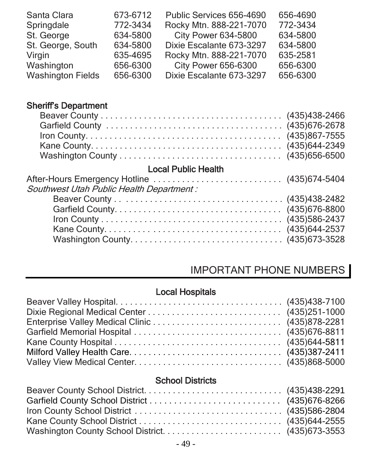| 673-6712 | Public Services 656-4690   | 656-4690 |
|----------|----------------------------|----------|
| 772-3434 | Rocky Mtn. 888-221-7070    | 772-3434 |
| 634-5800 | <b>City Power 634-5800</b> | 634-5800 |
| 634-5800 | Dixie Escalante 673-3297   | 634-5800 |
| 635-4695 | Rocky Mtn. 888-221-7070    | 635-2581 |
| 656-6300 | <b>City Power 656-6300</b> | 656-6300 |
| 656-6300 | Dixie Escalante 673-3297   | 656-6300 |
|          |                            |          |

### Sheriff's Department

#### Local Public Health

| After-Hours Emergency Hotline  (435)674-5404 |  |
|----------------------------------------------|--|
| Southwest Utah Public Health Department :    |  |
|                                              |  |
|                                              |  |
|                                              |  |
|                                              |  |
|                                              |  |

# IMPORTANT PHONE NUMBERS

# Local Hospitals

#### School Districts